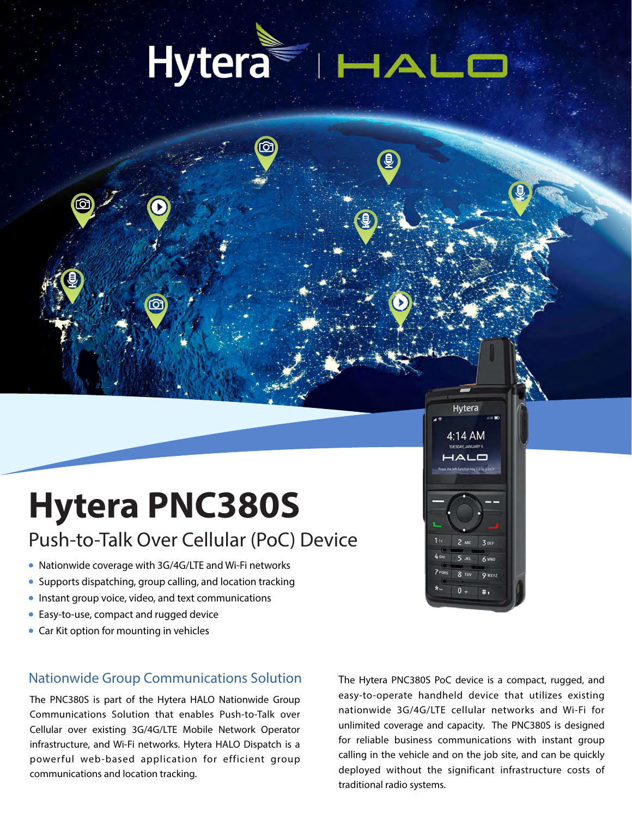# Hytera HAL

## **Hytera PNC380S**

## Push-to-Talk Over Cellular (PoC) Device

- Nationwide coverage with 3G/4G/LTE and Wi-Fi networks
- Supports dispatching, group calling, and location tracking
- Instant group voice, video, and text communications
- Easy-to-use, compact and rugged device
- Car Kit option for mounting in vehicles

#### **Nationwide Group Communications Solution**

The PNC380S is part of the Hytera HALO Nationwide Group Communications Solution that enables Push-to-Talk over Cellular over existing 3G/4G/LTE Mobile Network Operator infrastructure, and Wi-Fi networks. Hytera HALO Dispatch is a powerful web-based application for efficient group communications and location tracking.

The Hytera PNC380S PoC device is a compact, rugged, and easy-to-operate handheld device that utilizes existing nationwide 3G/4G/LTE cellular networks and Wi-Fi for unlimited coverage and capacity. The PNC380S is designed for reliable business communications with instant group calling in the vehicle and on the job site, and can be quickly deployed without the significant infrastructure costs of traditional radio systems.

Hytera

4:14 AM

ᄾᄂᆷ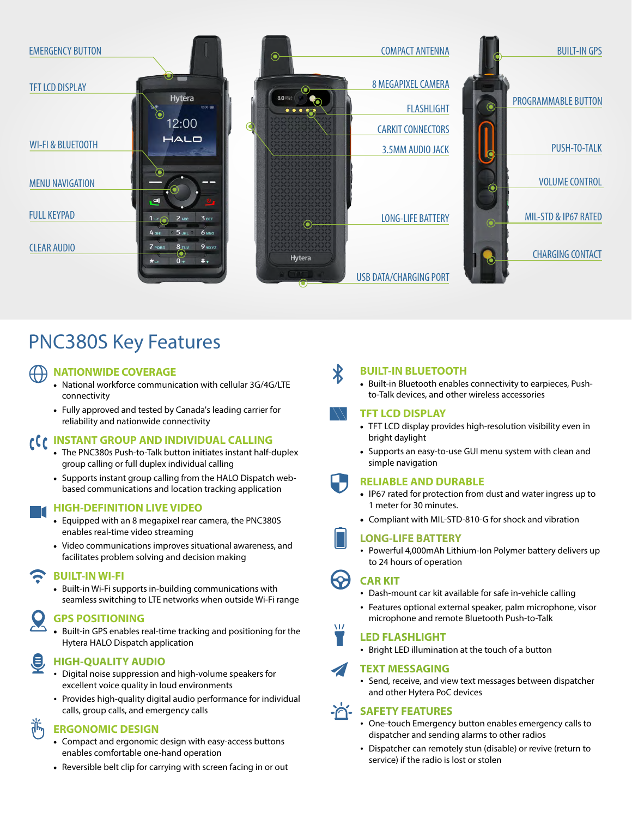

## **PNC380S Key Features**

#### **NATIONWIDE COVERAGE**

- National workforce communication with cellular 3G/4G/LTE connectivity
- Fully approved and tested by Canada's leading carrier for reliability and nationwide connectivity

#### CC INSTANT GROUP AND INDIVIDUAL CALLING

- The PNC380s Push-to-Talk button initiates instant half-duplex group calling or full duplex individual calling
- Supports instant group calling from the HALO Dispatch webbased communications and location tracking application

#### **HIGH-DEFINITION LIVE VIDEO**

- Equipped with an 8 megapixel rear camera, the PNC380S enables real-time video streaming
- Video communications improves situational awareness, and facilitates problem solving and decision making

#### **BUILT-IN WI-FI**

• Built-in Wi-Fi supports in-building communications with seamless switching to LTE networks when outside Wi-Fi range

#### **GPS POSITIONING**

• Built-in GPS enables real-time tracking and positioning for the Hytera HALO Dispatch application

#### **HIGH-QUALITY AUDIO**

- Digital noise suppression and high-volume speakers for excellent voice quality in loud environments
- Provides high-quality digital audio performance for individual calls, group calls, and emergency calls

#### **ERGONOMIC DESIGN**

- Compact and ergonomic design with easy-access buttons enables comfortable one-hand operation
- Reversible belt clip for carrying with screen facing in or out

#### **BUILT-IN BLUETOOTH**

• Built-in Bluetooth enables connectivity to earpieces, Pushto-Talk devices, and other wireless accessories

#### **TFT LCD DISPLAY**

- TFT LCD display provides high-resolution visibility even in bright daylight
- Supports an easy-to-use GUI menu system with clean and simple navigation

#### **RELIABLE AND DURABLE**

- IP67 rated for protection from dust and water ingress up to 1 meter for 30 minutes.
- Compliant with MIL-STD-810-G for shock and vibration



M7

#### **LONG-LIFE BATTERY**

• Powerful 4,000mAh Lithium-Ion Polymer battery delivers up to 24 hours of operation

#### **CARKIT**

- Dash-mount car kit available for safe in-vehicle calling
- Features optional external speaker, palm microphone, visor microphone and remote Bluetooth Push-to-Talk

#### **LED FLASHLIGHT**

• Bright LED illumination at the touch of a button

#### **TEXT MESSAGING**

• Send, receive, and view text messages between dispatcher and other Hytera PoC devices

#### **A SAFETY FEATURES**

- One-touch Emergency button enables emergency calls to dispatcher and sending alarms to other radios
- Dispatcher can remotely stun (disable) or revive (return to service) if the radio is lost or stolen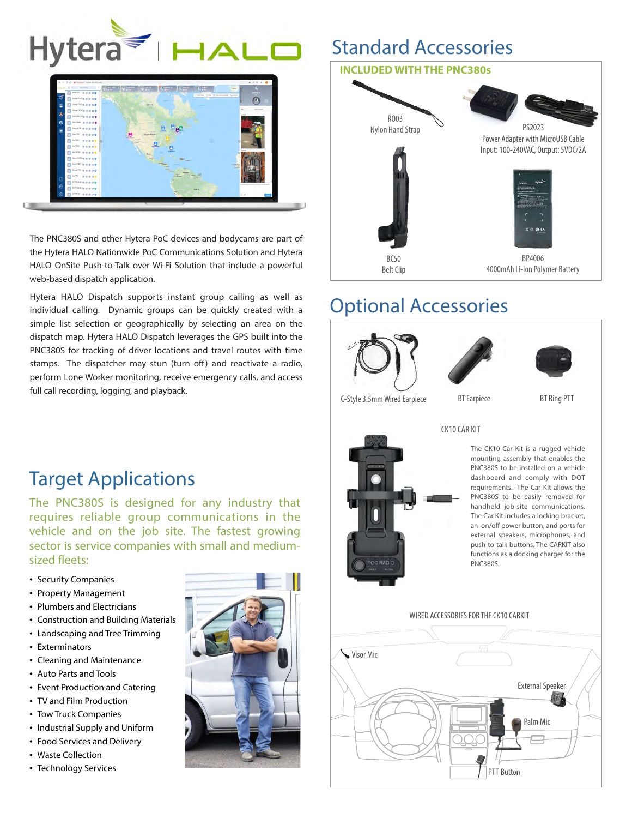



The PNC380S and other Hytera PoC devices and bodycams are part of the Hytera HALO Nationwide PoC Communications Solution and Hytera HALO OnSite Push-to-Talk over Wi-Fi Solution that include a powerful web-based dispatch application.

Hytera HALO Dispatch supports instant group calling as well as individual calling. Dynamic groups can be quickly created with a simple list selection or geographically by selecting an area on the dispatch map. Hytera HALO Dispatch leverages the GPS built into the PNC380S for tracking of driver locations and travel routes with time stamps. The dispatcher may stun (turn off) and reactivate a radio, perform Lone Worker monitoring, receive emergency calls, and access full call recording, logging, and playback.

## **Standard Accessories**



## **Optional Accessories**







C-Style 3.5mm Wired Earpiece

Visor Mic

**BT** Earpiece





WIRED ACCESSORIES FOR THE CK10 CARKIT



**External Speaker** 

Palm Mic

**PTT Button** 

## **Target Applications**

The PNC380S is designed for any industry that requires reliable group communications in the vehicle and on the job site. The fastest growing sector is service companies with small and mediumsized fleets:

- Security Companies
- Property Management
- Plumbers and Electricians
- Construction and Building Materials
- Landscaping and Tree Trimming
- Exterminators
- Cleaning and Maintenance
- Auto Parts and Tools
- Event Production and Catering
- TV and Film Production
- Tow Truck Companies
- Industrial Supply and Uniform
- Food Services and Delivery
- Waste Collection
- Technology Services